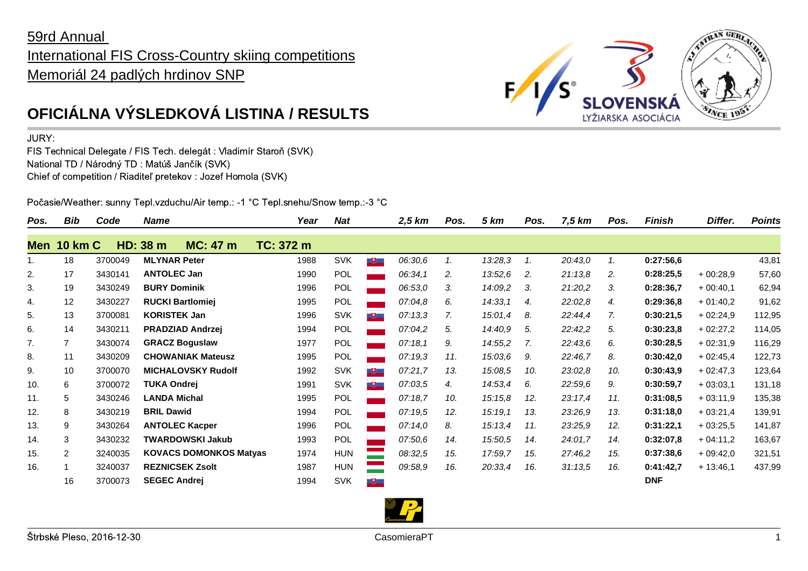## 59rd Annual International FIS Cross-Country skiing competitions Memoriál 24 padlých hrdinov SNP



## JURY:

FIS Technical Delegate / FIS Tech. delegát : Vladimír Staroň (SVK) National TD / Národný TD : Matúš Jančík (SVK) Chief of competition / Riaditeľ pretekov : Jozef Homola (SVK)

Počasie/Weather: sunny Tepl.vzduchu/Air temp.: -1 °C Tepl.snehu/Snow temp.:-3 °C

| Pos.  | Bib            | Code    | <b>Name</b> |                               | Year      | <b>Nat</b> |                          | $2,5$ km | Pos. | <b>5 km</b> | Pos. | 7,5 km  | Pos. | Finish     | Differ.    | <b>Points</b> |
|-------|----------------|---------|-------------|-------------------------------|-----------|------------|--------------------------|----------|------|-------------|------|---------|------|------------|------------|---------------|
| Men i | <b>10 km C</b> | HD:     | 38 m        | <b>MC: 47 m</b>               | TC: 372 m |            |                          |          |      |             |      |         |      |            |            |               |
| 1.    | 18             | 3700049 |             | <b>MLYNAR Peter</b>           | 1988      | <b>SVK</b> | $+$                      | 06:30,6  | 1.   | 13:28,3     | 1.   | 20:43,0 | 1.   | 0:27:56,6  |            | 43,81         |
| 2.    | 17             | 3430141 |             | <b>ANTOLEC Jan</b>            | 1990      | POL        |                          | 06:34,1  | 2.   | 13:52,6     | 2.   | 21:13,8 | 2.   | 0:28:25,5  | $+00:28,9$ | 57,60         |
| 3.    | 19             | 3430249 |             | <b>BURY Dominik</b>           | 1996      | <b>POL</b> |                          | 06:53,0  | 3.   | 14:09,2     | 3.   | 21:20,2 | 3.   | 0:28:36,7  | $+00:40,1$ | 62,94         |
| 4.    | 12             | 3430227 |             | <b>RUCKI Bartlomiej</b>       | 1995      | POL        |                          | 07:04,8  | 6.   | 14:33,1     | 4.   | 22:02,8 | 4.   | 0:29:36,8  | $+01:40.2$ | 91,62         |
| 5.    | 13             | 3700081 |             | <b>KORISTEK Jan</b>           | 1996      | <b>SVK</b> | $\mathbf{F}$             | 07:13,3  | 7.   | 15:01,4     | 8.   | 22:44,4 | 7.   | 0:30:21,5  | $+02:24,9$ | 112,95        |
| 6.    | 14             | 3430211 |             | <b>PRADZIAD Andrzej</b>       | 1994      | <b>POL</b> |                          | 07:04.2  | 5.   | 14:40.9     | 5.   | 22:42,2 | 5.   | 0:30:23,8  | $+02:27.2$ | 114,05        |
| 7.    | $\overline{7}$ | 3430074 |             | <b>GRACZ Boguslaw</b>         | 1977      | <b>POL</b> |                          | 07:18,1  | 9.   | 14:55,2     | 7.   | 22:43.6 | 6.   | 0:30:28.5  | $+02:31.9$ | 116,29        |
| 8.    | 11             | 3430209 |             | <b>CHOWANIAK Mateusz</b>      | 1995      | POL        |                          | 07:19,3  | 11.  | 15:03,6     | 9.   | 22:46,7 | 8.   | 0:30:42,0  | $+02:45,4$ | 122,73        |
| 9.    | 10             | 3700070 |             | <b>MICHALOVSKY Rudolf</b>     | 1992      | <b>SVK</b> | $\overline{\phantom{a}}$ | 07:21,7  | 13.  | 15:08,5     | 10.  | 23:02,8 | 10.  | 0:30:43,9  | $+02:47.3$ | 123,64        |
| 10.   | 6              | 3700072 |             | TUKA Ondrei                   | 1991      | <b>SVK</b> | $\frac{1}{2}$            | 07:03.5  | 4.   | 14:53,4     | 6.   | 22:59,6 | 9.   | 0:30:59,7  | $+03:03.1$ | 131,18        |
| 11.   | 5              | 3430246 |             | <b>LANDA Michal</b>           | 1995      | POL        |                          | 07:18.7  | 10.  | 15:15.8     | 12.  | 23:17.4 | 11.  | 0:31:08.5  | $+03:11.9$ | 135,38        |
| 12.   | 8              | 3430219 |             | <b>BRIL Dawid</b>             | 1994      | <b>POL</b> |                          | 07:19.5  | 12.  | 15:19,1     | 13.  | 23:26,9 | 13.  | 0:31:18,0  | $+03:21,4$ | 139,91        |
| 13.   | 9              | 3430264 |             | <b>ANTOLEC Kacper</b>         | 1996      | POL        |                          | 07:14.0  | 8.   | 15:13,4     | 11.  | 23:25,9 | 12.  | 0:31:22.1  | $+03:25.5$ | 141,87        |
| 14.   | 3              | 3430232 |             | TWARDOWSKI Jakub              | 1993      | POL        |                          | 07:50.6  | 14.  | 15:50,5     | 14.  | 24:01.7 | 14.  | 0:32:07,8  | $+04:11,2$ | 163,67        |
| 15.   | $\overline{2}$ | 3240035 |             | <b>KOVACS DOMONKOS Matyas</b> | 1974      | <b>HUN</b> |                          | 08:32,5  | 15.  | 17:59,7     | 15.  | 27:46,2 | 15.  | 0:37:38.6  | $+09:42.0$ | 321,51        |
| 16.   |                | 3240037 |             | <b>REZNICSEK Zsolt</b>        | 1987      | <b>HUN</b> |                          | 09:58.9  | 16.  | 20:33,4     | 16.  | 31:13,5 | 16.  | 0:41:42,7  | $+13:46,1$ | 437,99        |
|       | 16             | 3700073 |             | <b>SEGEC Andrej</b>           | 1994      | <b>SVK</b> | 巴                        |          |      |             |      |         |      | <b>DNF</b> |            |               |